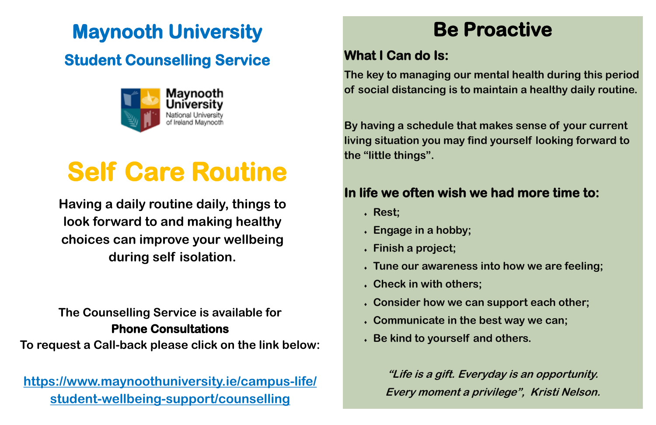# **Maynooth University**

## **Student Counselling Service**



## **The Counselling Service is available for Phone Consultations**

**To request a Call-back please click on the link below:**

**[https://www.maynoothuniversity.ie/campus-life/](https://www.maynoothuniversity.ie/campus-life/student-wellbeing-support/counselling) [student-wellbeing-support/counselling](https://www.maynoothuniversity.ie/campus-life/student-wellbeing-support/counselling)**

# **Self Care Routine**

**Having a daily routine daily, things to look forward to and making healthy choices can improve your wellbeing during self isolation.** 

# **Be Proactive**

## **What I Can do Is:**

**The key to managing our mental health during this period of social distancing is to maintain a healthy daily routine.**

**By having a schedule that makes sense of your current living situation you may find yourself looking forward to the "little things".** 

### **In life we often wish we had more time to:**

**Tune our awareness into how we are feeling;** 

- **Rest;**
- **Engage in a hobby;**
- **Finish a project;**
- 
- **Check in with others;**
- **Consider how we can support each other;**
- **Communicate in the best way we can;**
- **Be kind to yourself and others.**

**"Life is a gift. Everyday is an opportunity. Every moment a privilege", Kristi Nelson.**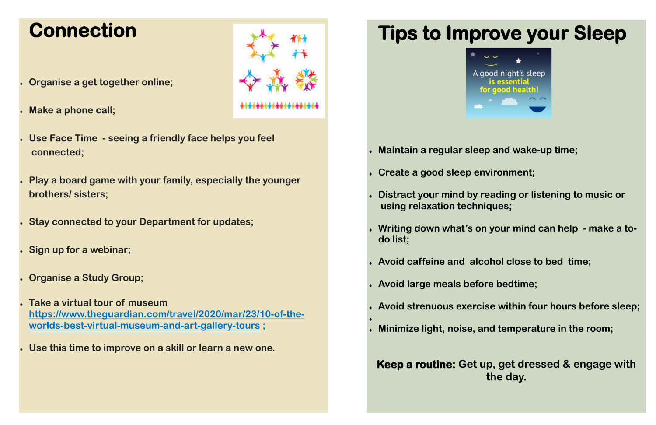## **Connection**

- **Organise a get together online;**
- **Make a phone call;**
- **Use Face Time - seeing a friendly face helps you feel connected;**
- **Play a board game with your family, especially the younger brothers/ sisters;**
- **Stay connected to your Department for updates;**
- **Sign up for a webinar;**
- **Organise a Study Group;**
- **Take a virtual tour of museum [https://www.theguardian.com/travel/2020/mar/23/10-of-the](https://www.theguardian.com/travel/2020/mar/23/10-of-the-worlds-best-virtual-museum-and-art-gallery-tours)[worlds-best-virtual-museum-and-art-gallery-tours](https://www.theguardian.com/travel/2020/mar/23/10-of-the-worlds-best-virtual-museum-and-art-gallery-tours) ;**
- **Use this time to improve on a skill or learn a new one.**





- **Maintain a regular sleep and wake-up time;**
- **Create a good sleep environment;**
- **Distract your mind by reading or listening to music or using relaxation techniques;**
- **Writing down what's on your mind can help - make a todo list;**
- **Avoid caffeine and alcohol close to bed time;**
- **Avoid large meals before bedtime;**
- **Avoid strenuous exercise within four hours before sleep;**
- **Minimize light, noise, and temperature in the room;**

 $\blacklozenge$ 

**Keep a routine: Get up, get dressed & engage with the day.**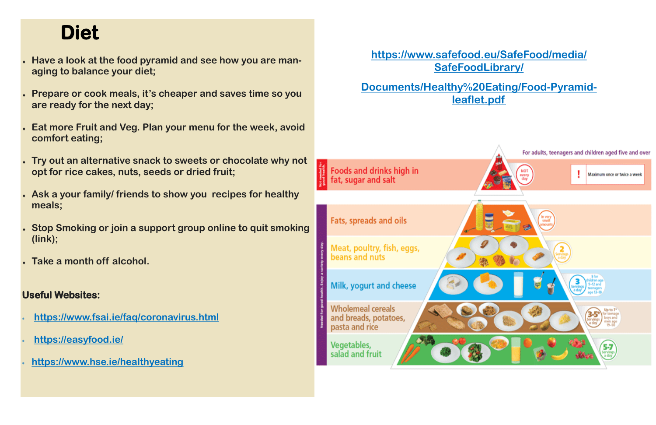## **Diet**

- **Have a look at the food pyramid and see how you are managing to balance your diet;**
- **Prepare or cook meals, it's cheaper and saves time so you are ready for the next day;**
- **Eat more Fruit and Veg. Plan your menu for the week, avoid comfort eating;**
- **Try out an alternative snack to sweets or chocolate why not opt for rice cakes, nuts, seeds or dried fruit;**
- **Ask a your family/ friends to show you recipes for healthy meals;**
- **Stop Smoking or join a support group online to quit smoking (link);**
- **Take a month off alcohol.**

### **Useful Websites:**

- **<https://www.fsai.ie/faq/coronavirus.html>**
- **<https://easyfood.ie/>**
- **https://www.hse.ie/healthyeating**

### **[https://www.safefood.eu/SafeFood/media/](https://www.safefood.eu/SafeFood/media/SafeFoodLibrary/Documents/Healthy%20Eating/Food-Pyramid-leaflet.pdf) [SafeFoodLibrary/](https://www.safefood.eu/SafeFood/media/SafeFoodLibrary/Documents/Healthy%20Eating/Food-Pyramid-leaflet.pdf)**

**[Documents/Healthy%20Eating/Food-Pyramid](https://www.safefood.eu/SafeFood/media/SafeFoodLibrary/Documents/Healthy%20Eating/Food-Pyramid-leaflet.pdf)[leaflet.pdf](https://www.safefood.eu/SafeFood/media/SafeFoodLibrary/Documents/Healthy%20Eating/Food-Pyramid-leaflet.pdf)**